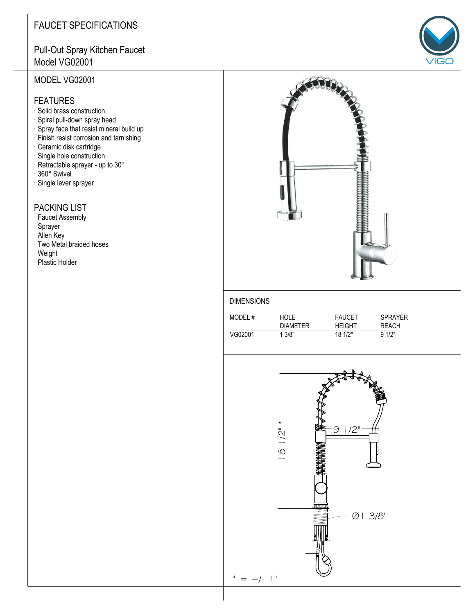## **FAUCET SPECIFICATIONS**

### Pull-Out Spray Kitchen Faucet Model VG02001

#### MODEL VG02001

#### **FEATURES**

- · Solid brass construction
- · Spiral pull-down spray head
- · Spray face that resist mineral build up
- · Finish resist corrosion and tarnishing
- · Ceramic disk cartridge
- · Single hole construction
- · Retractable sprayer up to 30"
- · 360° Swivel
- · Single lever sprayer

#### **PACKING LIST**

- · Faucet Assembly
- · Sprayer
- · Allen Key
- · Two Metal braided hoses
- · Weight
- · Plastic Holder



#### **DIMENSIONS**

| MODEL#  | <b>HOLE</b>     | <b>FAUCET</b> | <b>SPRAYER</b> |
|---------|-----------------|---------------|----------------|
|         | <b>DIAMETER</b> | <b>HFIGHT</b> | REACH          |
| VG02001 | 1.3/8"          | 18 1/2"       | 91/2"          |



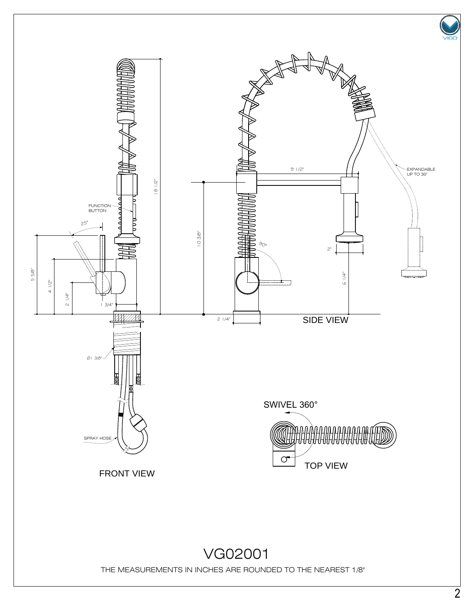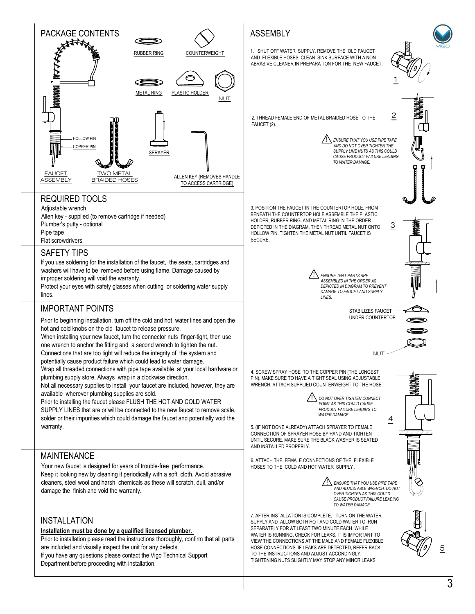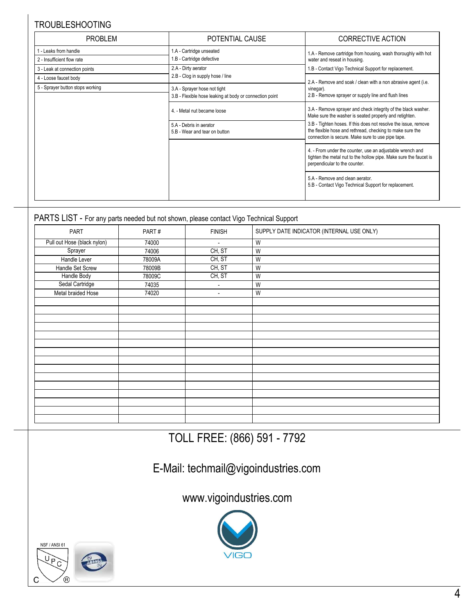### TROUBLESHOOTING

| <b>PROBLEM</b>                   | POTENTIAL CAUSE                                          | <b>CORRECTIVE ACTION</b>                                                                                                                                                          |  |
|----------------------------------|----------------------------------------------------------|-----------------------------------------------------------------------------------------------------------------------------------------------------------------------------------|--|
| - Leaks from handle              | 1.A - Cartridge unseated                                 | 1.A - Remove cartridge from housing, wash thoroughly with hot                                                                                                                     |  |
| 2 - Insufficient flow rate       | 1.B - Cartridge defective                                | water and reseat in housing.                                                                                                                                                      |  |
| 3 - Leak at connection points    | 2.A - Dirty aerator                                      | 1.B - Contact Vigo Technical Support for replacement.                                                                                                                             |  |
| 4 - Loose faucet body            | 2.B - Clog in supply hose / line                         | 2.A - Remove and soak / clean with a non abrasive agent (i.e.                                                                                                                     |  |
| 5 - Sprayer button stops working | 3.A - Sprayer hose not tight                             | vinegar).<br>2.B - Remove sprayer or supply line and flush lines                                                                                                                  |  |
|                                  | 3.B - Flexible hose leaking at body or connection point  |                                                                                                                                                                                   |  |
|                                  | 4. - Metal nut became loose                              | 3.A - Remove sprayer and check integrity of the black washer.<br>Make sure the washer is seated properly and retighten.                                                           |  |
|                                  | 5.A - Debris in aerator<br>5.B - Wear and tear on button | 3.B - Tighten hoses. If this does not resolve the issue, remove<br>the flexible hose and rethread, checking to make sure the<br>connection is secure. Make sure to use pipe tape. |  |
|                                  |                                                          | 4. - From under the counter, use an adjustable wrench and<br>tighten the metal nut to the hollow pipe. Make sure the faucet is<br>perpendicular to the counter.                   |  |
|                                  |                                                          | 5.A - Remove and clean aerator.<br>5.B - Contact Vigo Technical Support for replacement.                                                                                          |  |

#### PARTS LIST - For any parts needed but not shown, please contact Vigo Technical Support

| <b>PART</b>                 | PART#  | <b>FINISH</b>            | SUPPLY DATE INDICATOR (INTERNAL USE ONLY) |
|-----------------------------|--------|--------------------------|-------------------------------------------|
| Pull out Hose (black nylon) | 74000  | $\overline{\phantom{a}}$ | W                                         |
| Sprayer                     | 74006  | CH, ST                   | W                                         |
| Handle Lever                | 78009A | CH, ST                   | W                                         |
| Handle Set Screw            | 78009B | CH, ST                   | W                                         |
| Handle Body                 | 78009C | CH, ST                   | W                                         |
| Sedal Cartridge             | 74035  | $\overline{\phantom{a}}$ | W                                         |
| Metal braided Hose          | 74020  | $\overline{\phantom{a}}$ | W                                         |
|                             |        |                          |                                           |
|                             |        |                          |                                           |
|                             |        |                          |                                           |
|                             |        |                          |                                           |
|                             |        |                          |                                           |
|                             |        |                          |                                           |
|                             |        |                          |                                           |
|                             |        |                          |                                           |
|                             |        |                          |                                           |
|                             |        |                          |                                           |
|                             |        |                          |                                           |
|                             |        |                          |                                           |
|                             |        |                          |                                           |
|                             |        |                          |                                           |
|                             |        |                          |                                           |

TOLL FREE: (866) 591 - 7792

# E-Mail: techmail@vigoindustries.com

www.vigoindustries.com